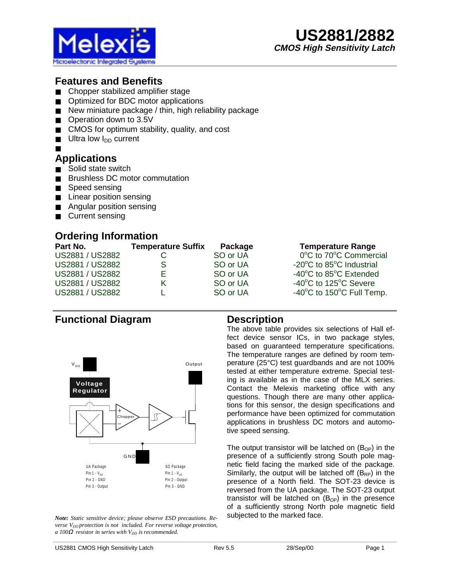

# **Features and Benefits**

- Chopper stabilized amplifier stage
- Optimized for BDC motor applications
- New miniature package / thin, high reliability package
- Operation down to 3.5V
- CMOS for optimum stability, quality, and cost
- $\blacksquare$  Ultra low  $I_{DD}$  current
- ■

#### **Applications**

- Solid state switch
- **Brushless DC motor commutation**
- Speed sensing
- Linear position sensing
- Angular position sensing
- Current sensing

## **Ordering Information**

| Part No.        | <b>Temperature Suffix</b> | Package  | <b>Temperature Range</b>                       |
|-----------------|---------------------------|----------|------------------------------------------------|
| US2881 / US2882 |                           | SO or UA | 0°C to 70°C Commercial                         |
| US2881 / US2882 | S                         | SO or UA | -20°C to 85°C Industrial                       |
| US2881 / US2882 | E.                        | SO or UA | -40°C to 85°C Extended                         |
| US2881 / US2882 |                           | SO or UA | -40°C to 125°C Severe                          |
| US2881 / US2882 |                           | SO or UA | $-40^{\circ}$ C to 150 $^{\circ}$ C Full Temp. |

### **Functional Diagram**



*Note: Static sensitive device; please observe ESD precautions. Reverse V<sub>DD</sub>* protection is not included. For reverse voltage protection,  $a$  100 $\Omega$  *resistor in series with*  $V_{DD}$  *is recommended.* 

#### **Description**

The above table provides six selections of Hall effect device sensor ICs, in two package styles, based on guaranteed temperature specifications. The temperature ranges are defined by room temperature (25°C) test guardbands and are not 100% tested at either temperature extreme. Special testing is available as in the case of the MLX series. Contact the Melexis marketing office with any questions. Though there are many other applications for this sensor, the design specifications and performance have been optimized for commutation applications in brushless DC motors and automotive speed sensing.

The output transistor will be latched on  $(B<sub>OP</sub>)$  in the presence of a sufficiently strong South pole magnetic field facing the marked side of the package. Similarly, the output will be latched off  $(B_{RP})$  in the presence of a North field. The SOT-23 device is reversed from the UA package. The SOT-23 output transistor will be latched on  $(B_{OP})$  in the presence of a sufficiently strong North pole magnetic field subjected to the marked face.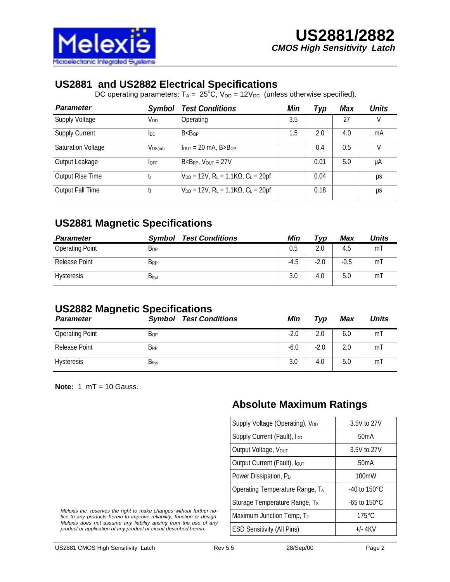

### **US2881 and US2882 Electrical Specifications**

DC operating parameters:  $T_A = 25^{\circ}C$ ,  $V_{DD} = 12V_{DC}$  (unless otherwise specified).

| <b>Parameter</b>          | Symbol                 | <b>Test Conditions</b>                                                  | Min | Typ  | <b>Max</b> | <b>Units</b> |
|---------------------------|------------------------|-------------------------------------------------------------------------|-----|------|------------|--------------|
| <b>Supply Voltage</b>     | V <sub>DD</sub>        | Operating                                                               | 3.5 |      | 27         | V            |
| <b>Supply Current</b>     | <b>I</b> <sub>DD</sub> | B < B <sub>OP</sub>                                                     | 1.5 | 2.0  | 4.0        | mA           |
| <b>Saturation Voltage</b> | $V_{DS(on)}$           | $IQUT = 20 mA$ , B $BOP$                                                |     | 0.4  | 0.5        | V            |
| Output Leakage            | <b>LOFF</b>            | $B < B_{RP}$ , $V_{OUT} = 27V$                                          |     | 0.01 | 5.0        | μA           |
| <b>Output Rise Time</b>   | tr                     | $V_{DD} = 12V$ , R <sub>L</sub> = 1.1K $\Omega$ , C <sub>L</sub> = 20pf |     | 0.04 |            | μs           |
| <b>Output Fall Time</b>   | tr                     | $V_{DD} = 12V$ , R <sub>L</sub> = 1.1K $\Omega$ , C <sub>L</sub> = 20pf |     | 0.18 |            | μs           |

## **US2881 Magnetic Specifications**

| <b>Parameter</b>       | <b>Test Conditions</b><br><b>Symbol</b> | Min    | Typ    | Max    | Units          |
|------------------------|-----------------------------------------|--------|--------|--------|----------------|
| <b>Operating Point</b> | Bop                                     | 0.5    | 2.0    | 4.5    | m              |
| <b>Release Point</b>   | $B_{RP}$                                | $-4.5$ | $-2.0$ | $-0.5$ | m              |
| <b>Hysteresis</b>      | <b>B</b> hys                            | 3.0    | 4.0    | 5.0    | m <sub>l</sub> |

### **US2882 Magnetic Specifications**

| $\sim$<br><b>Parameter</b> | <b>Test Conditions</b><br>Symbol | Min    | Typ    | Max | <b>Units</b>   |
|----------------------------|----------------------------------|--------|--------|-----|----------------|
| <b>Operating Point</b>     | $B_{OP}$                         | $-2.0$ | 2.0    | 6.0 | m              |
| <b>Release Point</b>       | $B_{RP}$                         | $-6.0$ | $-2.0$ | 2.0 | m <sub>l</sub> |
| <b>Hysteresis</b>          | $B_{\text{hys}}$                 | 3.0    | 4.0    | 5.0 | m              |

**Note:** 1 mT = 10 Gauss.

### **Absolute Maximum Ratings**

| Supply Voltage (Operating), V <sub>DD</sub> | 3.5V to 27V              |  |  |  |
|---------------------------------------------|--------------------------|--|--|--|
| Supply Current (Fault), lpp                 | 50 <sub>m</sub> A        |  |  |  |
| Output Voltage, Vout                        | 3.5V to 27V              |  |  |  |
| Output Current (Fault), Iout                | 50mA                     |  |  |  |
| Power Dissipation, PD                       | $100 \text{mW}$          |  |  |  |
| Operating Temperature Range, TA             | -40 to $150^{\circ}$ C   |  |  |  |
| Storage Temperature Range, Ts               | $-65$ to $150^{\circ}$ C |  |  |  |
| Maximum Junction Temp, TJ                   | $175^\circ C$            |  |  |  |
| <b>ESD Sensitivity (All Pins)</b>           | $+/- 4$ KV               |  |  |  |

Melexis Inc. reserves the right to make changes without further notice to any products herein to improve reliability, function or design. Melexis does not assume any liability arising from the use of any product or application of any product or circuit described herein.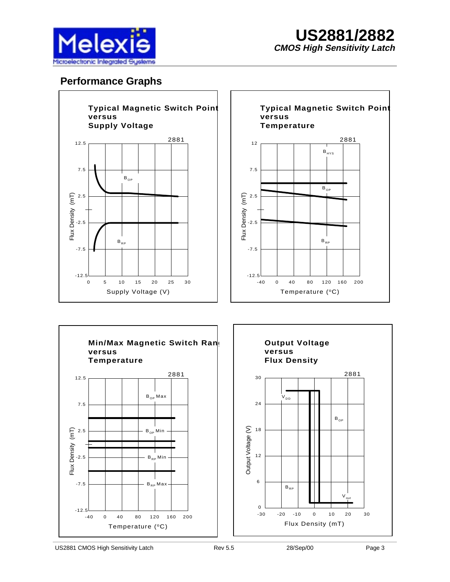

## **Performance Graphs**





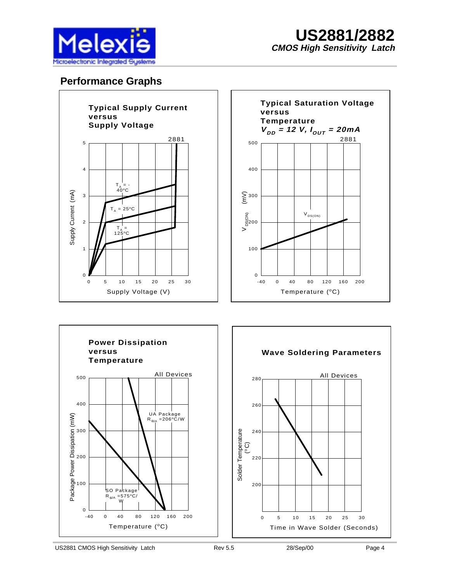

## **Performance Graphs**





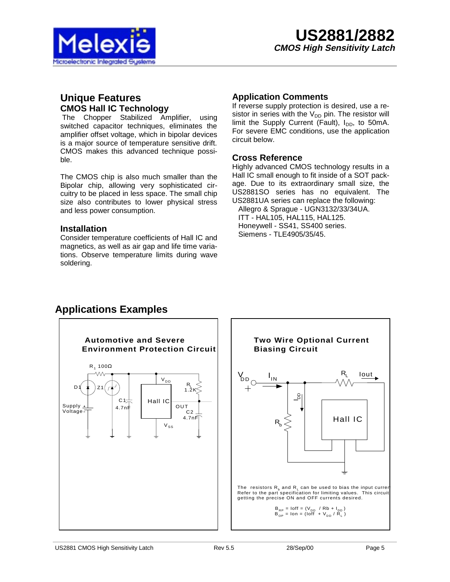

#### **Unique Features CMOS Hall IC Technology**

The Chopper Stabilized Amplifier, using switched capacitor techniques, eliminates the amplifier offset voltage, which in bipolar devices is a major source of temperature sensitive drift. CMOS makes this advanced technique possible.

The CMOS chip is also much smaller than the Bipolar chip, allowing very sophisticated circuitry to be placed in less space. The small chip size also contributes to lower physical stress and less power consumption.

#### **Installation**

Consider temperature coefficients of Hall IC and magnetics, as well as air gap and life time variations. Observe temperature limits during wave soldering.

#### **Application Comments**

If reverse supply protection is desired, use a resistor in series with the  $V_{DD}$  pin. The resistor will limit the Supply Current (Fault),  $I_{DD}$ , to 50mA. For severe EMC conditions, use the application circuit below.

#### **Cross Reference**

Highly advanced CMOS technology results in a Hall IC small enough to fit inside of a SOT package. Due to its extraordinary small size, the US2881SO series has no equivalent. The US2881UA series can replace the following: Allegro & Sprague - UGN3132/33/34UA. ITT - HAL105, HAL115, HAL125. Honeywell - SS41, SS400 series. Siemens - TLE4905/35/45.



# **Applications Examples**